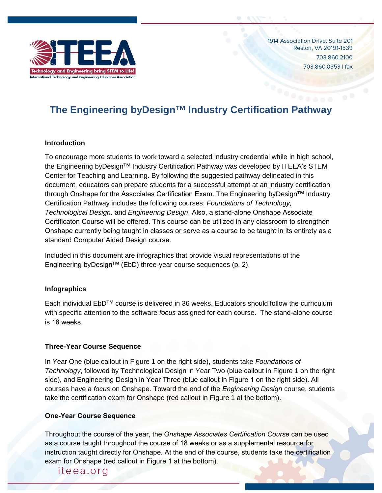

1914 Association Drive, Suite 201 Reston, VA 20191-1539 703.860.2100 703.860.0353 | fax

# **The Engineering byDesign™ Industry Certification Pathway**

#### **Introduction**

To encourage more students to work toward a selected industry credential while in high school, the Engineering byDesign™ Industry Certification Pathway was developed by ITEEA's STEM Center for Teaching and Learning. By following the suggested pathway delineated in this document, educators can prepare students for a successful attempt at an industry certification through Onshape for the Associates Certification Exam. The Engineering byDesign™ Industry Certification Pathway includes the following courses: *Foundations of Technology, Technological Design,* and *Engineering Design*. Also, a stand-alone Onshape Associate Certificaton Course will be offered. This course can be utilized in any classroom to strengthen Onshape currently being taught in classes or serve as a course to be taught in its entirety as a standard Computer Aided Design course.

Included in this document are infographics that provide visual representations of the Engineering byDesign™ (EbD) three-year course sequences (p. 2).

### **Infographics**

Each individual EbD™ course is delivered in 36 weeks. Educators should follow the curriculum with specific attention to the software *focus* assigned for each course. The stand-alone course is 18 weeks.

#### **Three-Year Course Sequence**

In Year One (blue callout in Figure 1 on the right side), students take *Foundations of Technology*, followed by Technological Design in Year Two (blue callout in Figure 1 on the right side), and Engineering Design in Year Three (blue callout in Figure 1 on the right side). All courses have a *focus* on Onshape. Toward the end of the *Engineering Design* course, students take the certification exam for Onshape (red callout in Figure 1 at the bottom).

#### **One-Year Course Sequence**

Throughout the course of the year, the *Onshape Associates Certification Course* can be used as a course taught throughout the course of 18 weeks or as a supplemental resource for instruction taught directly for Onshape. At the end of the course, students take the certification exam for Onshape (red callout in Figure 1 at the bottom).

# iteea.org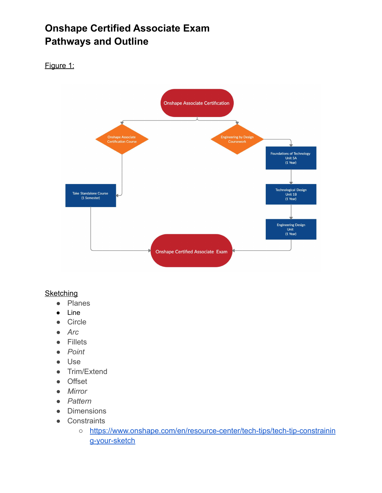# **Onshape Certified Associate Exam Pathways and Outline**

# Figure 1:



### **Sketching**

- Planes
- Line
- Circle
- *● Arc*
- Fillets
- *● Point*
- Use
- Trim/Extend
- Offset
- *● Mirror*
- *● Pattern*
- Dimensions
- Constraints
	- [https://www.onshape.com/en/resource-center/tech-tips/tech-tip-constrainin](https://www.onshape.com/en/resource-center/tech-tips/tech-tip-constraining-your-sketch) [g-your-sketch](https://www.onshape.com/en/resource-center/tech-tips/tech-tip-constraining-your-sketch)